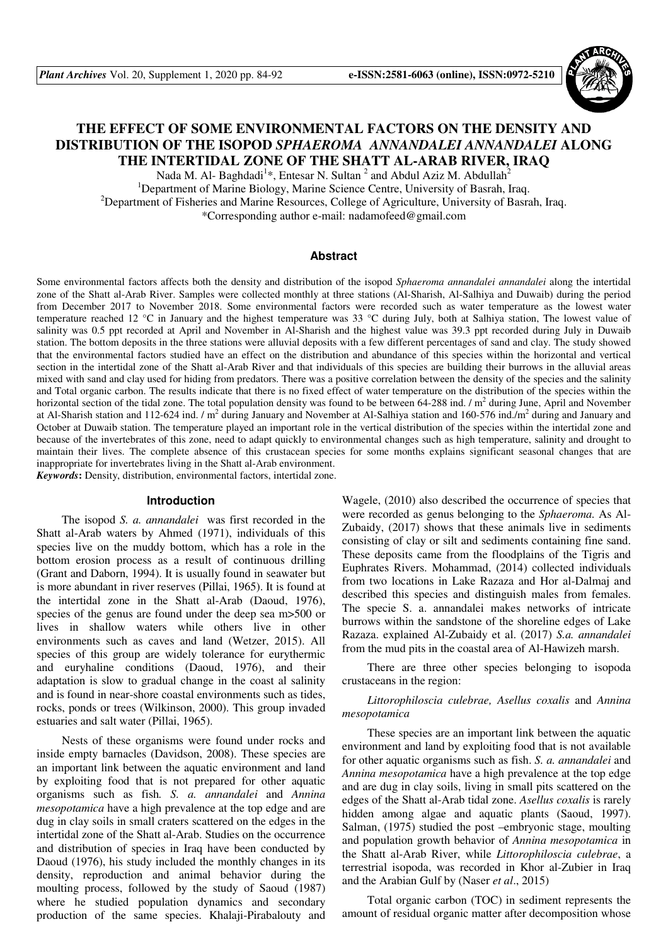

# **THE EFFECT OF SOME ENVIRONMENTAL FACTORS ON THE DENSITY AND DISTRIBUTION OF THE ISOPOD** *SPHAEROMA ANNANDALEI ANNANDALEI* **ALONG THE INTERTIDAL ZONE OF THE SHATT AL-ARAB RIVER, IRAQ**

Nada M. Al- Baghdadi<sup>1</sup>\*, Entesar N. Sultan  $^2$  and Abdul Aziz M. Abdullah<sup>2</sup> <sup>1</sup>Department of Marine Biology, Marine Science Centre, University of Basrah, Iraq. <sup>2</sup>Department of Fisheries and Marine Resources, College of Agriculture, University of Basrah, Iraq. \*Corresponding author e-mail: nadamofeed@gmail.com

# **Abstract**

Some environmental factors affects both the density and distribution of the isopod *Sphaeroma annandalei annandalei* along the intertidal zone of the Shatt al-Arab River. Samples were collected monthly at three stations (Al-Sharish, Al-Salhiya and Duwaib) during the period from December 2017 to November 2018. Some environmental factors were recorded such as water temperature as the lowest water temperature reached 12 °C in January and the highest temperature was 33 °C during July, both at Salhiya station, The lowest value of salinity was 0.5 ppt recorded at April and November in Al-Sharish and the highest value was 39.3 ppt recorded during July in Duwaib station. The bottom deposits in the three stations were alluvial deposits with a few different percentages of sand and clay. The study showed that the environmental factors studied have an effect on the distribution and abundance of this species within the horizontal and vertical section in the intertidal zone of the Shatt al-Arab River and that individuals of this species are building their burrows in the alluvial areas mixed with sand and clay used for hiding from predators. There was a positive correlation between the density of the species and the salinity and Total organic carbon. The results indicate that there is no fixed effect of water temperature on the distribution of the species within the horizontal section of the tidal zone. The total population density was found to be between 64-288 ind.  $/m<sup>2</sup>$  during June, April and November at Al-Sharish station and 112-624 ind. / m<sup>2</sup> during January and November at Al-Salhiya station and 160-576 ind./m<sup>2</sup> during and January and October at Duwaib station. The temperature played an important role in the vertical distribution of the species within the intertidal zone and because of the invertebrates of this zone, need to adapt quickly to environmental changes such as high temperature, salinity and drought to maintain their lives. The complete absence of this crustacean species for some months explains significant seasonal changes that are inappropriate for invertebrates living in the Shatt al-Arab environment.

*Keywords***:** Density, distribution, environmental factors, intertidal zone.

#### **Introduction**

The isopod *S. a. annandalei* was first recorded in the Shatt al-Arab waters by Ahmed (1971), individuals of this species live on the muddy bottom, which has a role in the bottom erosion process as a result of continuous drilling (Grant and Daborn, 1994). It is usually found in seawater but is more abundant in river reserves (Pillai, 1965). It is found at the intertidal zone in the Shatt al-Arab (Daoud, 1976), species of the genus are found under the deep sea m>500 or lives in shallow waters while others live in other environments such as caves and land (Wetzer, 2015). All species of this group are widely tolerance for eurythermic and euryhaline conditions (Daoud, 1976), and their adaptation is slow to gradual change in the coast al salinity and is found in near-shore coastal environments such as tides, rocks, ponds or trees (Wilkinson, 2000). This group invaded estuaries and salt water (Pillai, 1965).

Nests of these organisms were found under rocks and inside empty barnacles (Davidson, 2008). These species are an important link between the aquatic environment and land by exploiting food that is not prepared for other aquatic organisms such as fish*. S. a. annandalei* and *Annina mesopotamica* have a high prevalence at the top edge and are dug in clay soils in small craters scattered on the edges in the intertidal zone of the Shatt al-Arab. Studies on the occurrence and distribution of species in Iraq have been conducted by Daoud (1976), his study included the monthly changes in its density, reproduction and animal behavior during the moulting process, followed by the study of Saoud (1987) where he studied population dynamics and secondary production of the same species. Khalaji-Pirabalouty and

Wagele, (2010) also described the occurrence of species that were recorded as genus belonging to the *Sphaeroma.* As Al-Zubaidy, (2017) shows that these animals live in sediments consisting of clay or silt and sediments containing fine sand. These deposits came from the floodplains of the Tigris and Euphrates Rivers. Mohammad, (2014) collected individuals from two locations in Lake Razaza and Hor al-Dalmaj and described this species and distinguish males from females. The specie S. a. annandalei makes networks of intricate burrows within the sandstone of the shoreline edges of Lake Razaza. explained Al-Zubaidy et al. (2017) *S.a. annandalei* from the mud pits in the coastal area of Al-Hawizeh marsh.

There are three other species belonging to isopoda crustaceans in the region:

# *Littorophiloscia culebrae, Asellus coxalis* and *Annina mesopotamica*

These species are an important link between the aquatic environment and land by exploiting food that is not available for other aquatic organisms such as fish. *S. a. annandalei* and *Annina mesopotamica* have a high prevalence at the top edge and are dug in clay soils, living in small pits scattered on the edges of the Shatt al-Arab tidal zone. *Asellus coxalis* is rarely hidden among algae and aquatic plants (Saoud, 1997). Salman, (1975) studied the post –embryonic stage, moulting and population growth behavior of *Annina mesopotamica* in the Shatt al-Arab River, while *Littorophiloscia culebrae*, a terrestrial isopoda, was recorded in Khor al-Zubier in Iraq and the Arabian Gulf by (Naser *et al*., 2015)

Total organic carbon (TOC) in sediment represents the amount of residual organic matter after decomposition whose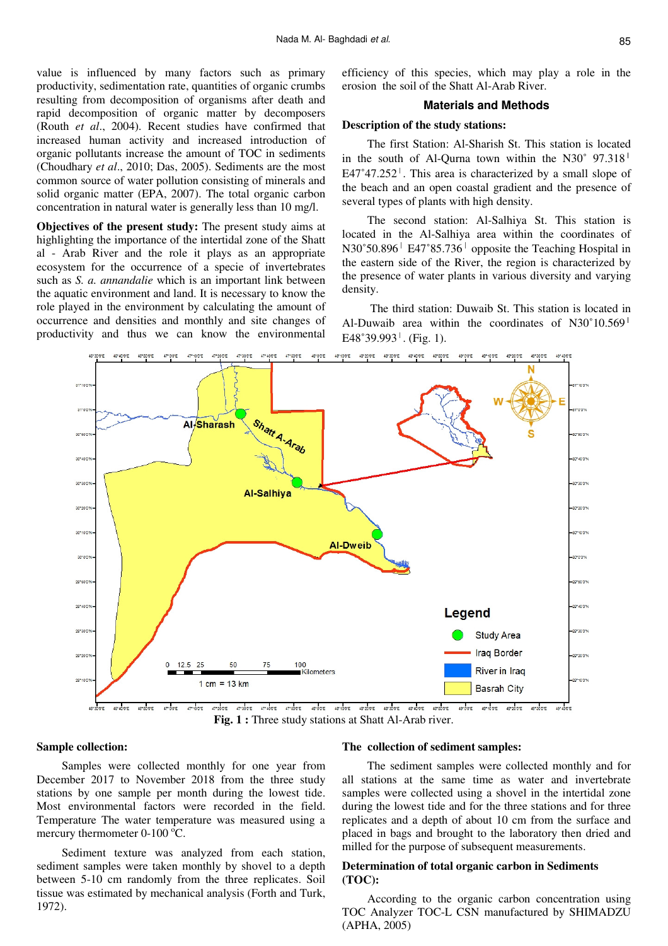value is influenced by many factors such as primary productivity, sedimentation rate, quantities of organic crumbs resulting from decomposition of organisms after death and rapid decomposition of organic matter by decomposers (Routh *et al*., 2004). Recent studies have confirmed that increased human activity and increased introduction of organic pollutants increase the amount of TOC in sediments (Choudhary *et al*., 2010; Das, 2005). Sediments are the most common source of water pollution consisting of minerals and solid organic matter (EPA, 2007). The total organic carbon concentration in natural water is generally less than 10 mg/l.

**Objectives of the present study:** The present study aims at highlighting the importance of the intertidal zone of the Shatt al - Arab River and the role it plays as an appropriate ecosystem for the occurrence of a specie of invertebrates such as *S. a. annandalie* which is an important link between the aquatic environment and land. It is necessary to know the role played in the environment by calculating the amount of occurrence and densities and monthly and site changes of productivity and thus we can know the environmental

efficiency of this species, which may play a role in the erosion the soil of the Shatt Al-Arab River.

#### **Materials and Methods**

#### **Description of the study stations:**

The first Station: Al-Sharish St. This station is located in the south of Al-Qurna town within the N30 $^{\circ}$  97.318<sup> $\parallel$ </sup>  $E47^{\circ}47.252^{\circ}$ . This area is characterized by a small slope of the beach and an open coastal gradient and the presence of several types of plants with high density.

The second station: Al-Salhiya St. This station is located in the Al-Salhiya area within the coordinates of N30˚50.896ˈ E47˚85.736ˈ opposite the Teaching Hospital in the eastern side of the River, the region is characterized by the presence of water plants in various diversity and varying density.

 The third station: Duwaib St. This station is located in Al-Duwaib area within the coordinates of N30˚10.569ˈ  $E48°39.993<sup>1</sup>$ . (Fig. 1).



**Fig. 1 :** Three study stations at Shatt Al-Arab river.

#### **Sample collection:**

Samples were collected monthly for one year from December 2017 to November 2018 from the three study stations by one sample per month during the lowest tide. Most environmental factors were recorded in the field. Temperature The water temperature was measured using a mercury thermometer  $0-100$   $^{\circ}$ C.

Sediment texture was analyzed from each station, sediment samples were taken monthly by shovel to a depth between 5-10 cm randomly from the three replicates. Soil tissue was estimated by mechanical analysis (Forth and Turk, 1972).

#### **The collection of sediment samples:**

The sediment samples were collected monthly and for all stations at the same time as water and invertebrate samples were collected using a shovel in the intertidal zone during the lowest tide and for the three stations and for three replicates and a depth of about 10 cm from the surface and placed in bags and brought to the laboratory then dried and milled for the purpose of subsequent measurements.

# **Determination of total organic carbon in Sediments (TOC):**

According to the organic carbon concentration using TOC Analyzer TOC-L CSN manufactured by SHIMADZU (APHA, 2005)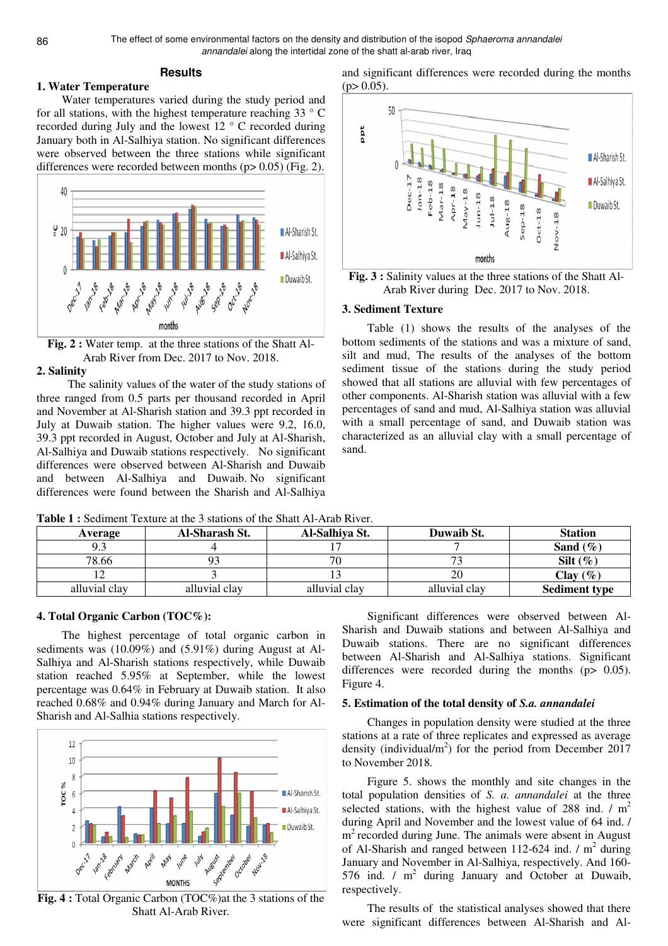The effect of some environmental factors on the density and distribution of the isopod Sphaeroma annandalei annandalei along the intertidal zone of the shatt al-arab river, Iraq

# **Results**

# **1. Water Temperature**

Water temperatures varied during the study period and for all stations, with the highest temperature reaching 33 ° C recorded during July and the lowest 12 ° C recorded during January both in Al-Salhiya station. No significant differences were observed between the three stations while significant differences were recorded between months  $(p> 0.05)$  (Fig. 2).



**Fig. 2 :** Water temp. at the three stations of the Shatt Al-Arab River from Dec. 2017 to Nov. 2018.

#### **2. Salinity**

 The salinity values of the water of the study stations of three ranged from 0.5 parts per thousand recorded in April and November at Al-Sharish station and 39.3 ppt recorded in July at Duwaib station. The higher values were 9.2, 16.0, 39.3 ppt recorded in August, October and July at Al-Sharish, Al-Salhiya and Duwaib stations respectively. No significant differences were observed between Al-Sharish and Duwaib and between Al-Salhiya and Duwaib. No significant differences were found between the Sharish and Al-Salhiya

and significant differences were recorded during the months  $(p> 0.05)$ .



**Fig. 3 :** Salinity values at the three stations of the Shatt Al-Arab River during Dec. 2017 to Nov. 2018.

### **3. Sediment Texture**

Table (1) shows the results of the analyses of the bottom sediments of the stations and was a mixture of sand, silt and mud, The results of the analyses of the bottom sediment tissue of the stations during the study period showed that all stations are alluvial with few percentages of other components. Al-Sharish station was alluvial with a few percentages of sand and mud, Al-Salhiya station was alluvial with a small percentage of sand, and Duwaib station was characterized as an alluvial clay with a small percentage of sand.

**Table 1 :** Sediment Texture at the 3 stations of the Shatt Al-Arab River.

| Average       | Al-Sharash St. | Al-Salhiya St. | Duwaib St.    | <b>Station</b>       |
|---------------|----------------|----------------|---------------|----------------------|
| ر.,           |                |                |               | Sand $(\%)$          |
| 78.66         |                |                |               | Silt $(\%)$          |
|               |                |                |               | Clay $(\%)$          |
| alluvial clay | alluvial clay  | alluvial clav  | alluvial clav | <b>Sediment type</b> |

#### **4. Total Organic Carbon (TOC%):**

The highest percentage of total organic carbon in sediments was (10.09%) and (5.91%) during August at Al-Salhiya and Al-Sharish stations respectively, while Duwaib station reached 5.95% at September, while the lowest percentage was 0.64% in February at Duwaib station. It also reached 0.68% and 0.94% during January and March for Al-Sharish and Al-Salhia stations respectively.



**Fig. 4 :** Total Organic Carbon (TOC%)at the 3 stations of the Shatt Al-Arab River.

Significant differences were observed between Al-Sharish and Duwaib stations and between Al-Salhiya and Duwaib stations. There are no significant differences between Al-Sharish and Al-Salhiya stations. Significant differences were recorded during the months  $(p > 0.05)$ . Figure 4.

# **5. Estimation of the total density of** *S.a. annandalei*

Changes in population density were studied at the three stations at a rate of three replicates and expressed as average density (individual/ $m<sup>2</sup>$ ) for the period from December 2017 to November 2018.

Figure 5. shows the monthly and site changes in the total population densities of *S. a. annandalei* at the three selected stations, with the highest value of 288 ind.  $/m<sup>2</sup>$ during April and November and the lowest value of 64 ind. / m<sup>2</sup> recorded during June. The animals were absent in August of Al-Sharish and ranged between 112-624 ind.  $/m<sup>2</sup>$  during January and November in Al-Salhiya, respectively. And 160- 576 ind.  $/m^2$  during January and October at Duwaib, respectively.

The results of the statistical analyses showed that there were significant differences between Al-Sharish and Al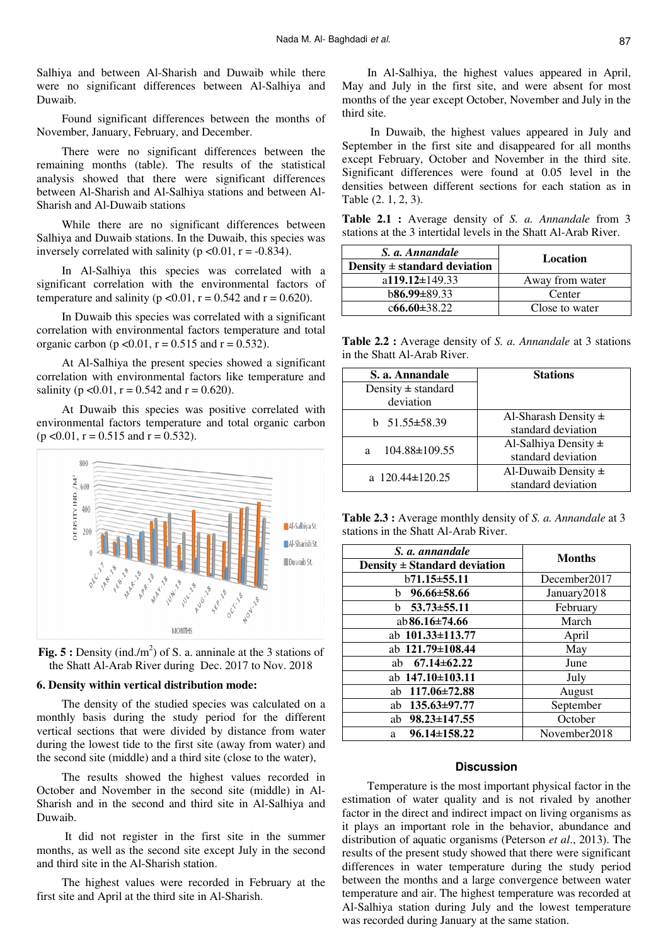Salhiya and between Al-Sharish and Duwaib while there were no significant differences between Al-Salhiya and Duwaib.

Found significant differences between the months of November, January, February, and December.

There were no significant differences between the remaining months (table). The results of the statistical analysis showed that there were significant differences between Al-Sharish and Al-Salhiya stations and between Al-Sharish and Al-Duwaib stations

While there are no significant differences between Salhiya and Duwaib stations. In the Duwaib, this species was inversely correlated with salinity ( $p < 0.01$ ,  $r = -0.834$ ).

In Al-Salhiya this species was correlated with a significant correlation with the environmental factors of temperature and salinity ( $p < 0.01$ ,  $r = 0.542$  and  $r = 0.620$ ).

In Duwaib this species was correlated with a significant correlation with environmental factors temperature and total organic carbon (p < 0.01, r = 0.515 and r = 0.532).

At Al-Salhiya the present species showed a significant correlation with environmental factors like temperature and salinity ( $p \le 0.01$ ,  $r = 0.542$  and  $r = 0.620$ ).

At Duwaib this species was positive correlated with environmental factors temperature and total organic carbon  $(p \le 0.01, r = 0.515 \text{ and } r = 0.532).$ 





#### **6. Density within vertical distribution mode:**

The density of the studied species was calculated on a monthly basis during the study period for the different vertical sections that were divided by distance from water during the lowest tide to the first site (away from water) and the second site (middle) and a third site (close to the water),

The results showed the highest values recorded in October and November in the second site (middle) in Al-Sharish and in the second and third site in Al-Salhiya and Duwaib.

 It did not register in the first site in the summer months, as well as the second site except July in the second and third site in the Al-Sharish station.

The highest values were recorded in February at the first site and April at the third site in Al-Sharish.

In Al-Salhiya, the highest values appeared in April, May and July in the first site, and were absent for most months of the year except October, November and July in the third site.

 In Duwaib, the highest values appeared in July and September in the first site and disappeared for all months except February, October and November in the third site. Significant differences were found at 0.05 level in the densities between different sections for each station as in Table (2. 1, 2, 3).

**Table 2.1 :** Average density of *S. a. Annandale* from 3 stations at the 3 intertidal levels in the Shatt Al-Arab River.

| S. a. Annandale                  | Location        |  |
|----------------------------------|-----------------|--|
| Density $\pm$ standard deviation |                 |  |
| a119.12 $\pm$ 149.33             | Away from water |  |
| $b86.99\pm89.33$                 | Center          |  |
| $c66.60 \pm 38.22$               | Close to water  |  |

**Table 2.2 :** Average density of *S. a. Annandale* at 3 stations in the Shatt Al-Arab River.

| S. a. Annandale        | <b>Stations</b>          |
|------------------------|--------------------------|
| Density $\pm$ standard |                          |
| deviation              |                          |
| b $51.55 \pm 58.39$    | Al-Sharash Density $\pm$ |
|                        | standard deviation       |
| 104.88±109.55<br>a     | Al-Salhiya Density $\pm$ |
|                        | standard deviation       |
| a $120.44 \pm 120.25$  | Al-Duwaib Density $\pm$  |
|                        | standard deviation       |

**Table 2.3 :** Average monthly density of *S. a. Annandale* at 3 stations in the Shatt Al-Arab River.

| S. a. annandale                  | <b>Months</b> |  |
|----------------------------------|---------------|--|
| Density $\pm$ Standard deviation |               |  |
| b71.15±55.11                     | December2017  |  |
| b $96.66 \pm 58.66$              | January2018   |  |
| b $53.73 \pm 55.11$              | February      |  |
| ab $86.16 \pm 74.66$             | March         |  |
| ab $101.33 \pm 113.77$           | April         |  |
| ab 121.79±108.44                 | May           |  |
| ab $67.14 \pm 62.22$             | June          |  |
| ab 147.10±103.11                 | July          |  |
| ab $117.06 \pm 72.88$            | August        |  |
| ab $135.63 \pm 97.77$            | September     |  |
| ab $98.23 \pm 147.55$            | October       |  |
| $96.14 \pm 158.22$<br>a          | November2018  |  |

#### **Discussion**

Temperature is the most important physical factor in the estimation of water quality and is not rivaled by another factor in the direct and indirect impact on living organisms as it plays an important role in the behavior, abundance and distribution of aquatic organisms (Peterson *et al*., 2013). The results of the present study showed that there were significant differences in water temperature during the study period between the months and a large convergence between water temperature and air. The highest temperature was recorded at Al-Salhiya station during July and the lowest temperature was recorded during January at the same station.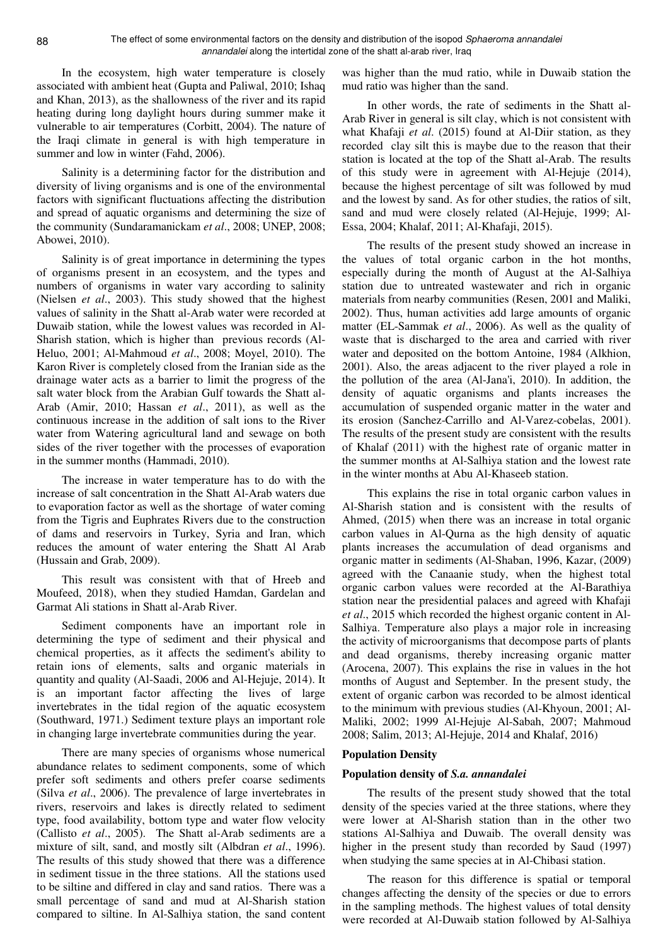In the ecosystem, high water temperature is closely associated with ambient heat (Gupta and Paliwal, 2010; Ishaq and Khan, 2013), as the shallowness of the river and its rapid heating during long daylight hours during summer make it vulnerable to air temperatures (Corbitt, 2004). The nature of the Iraqi climate in general is with high temperature in summer and low in winter (Fahd, 2006).

Salinity is a determining factor for the distribution and diversity of living organisms and is one of the environmental factors with significant fluctuations affecting the distribution and spread of aquatic organisms and determining the size of the community (Sundaramanickam *et al*., 2008; UNEP, 2008; Abowei, 2010).

Salinity is of great importance in determining the types of organisms present in an ecosystem, and the types and numbers of organisms in water vary according to salinity (Nielsen *et al*., 2003). This study showed that the highest values of salinity in the Shatt al-Arab water were recorded at Duwaib station, while the lowest values was recorded in Al-Sharish station, which is higher than previous records (Al-Heluo, 2001; Al-Mahmoud *et al*., 2008; Moyel, 2010). The Karon River is completely closed from the Iranian side as the drainage water acts as a barrier to limit the progress of the salt water block from the Arabian Gulf towards the Shatt al-Arab (Amir, 2010; Hassan *et al*., 2011), as well as the continuous increase in the addition of salt ions to the River water from Watering agricultural land and sewage on both sides of the river together with the processes of evaporation in the summer months (Hammadi, 2010).

The increase in water temperature has to do with the increase of salt concentration in the Shatt Al-Arab waters due to evaporation factor as well as the shortage of water coming from the Tigris and Euphrates Rivers due to the construction of dams and reservoirs in Turkey, Syria and Iran, which reduces the amount of water entering the Shatt Al Arab (Hussain and Grab, 2009).

This result was consistent with that of Hreeb and Moufeed, 2018), when they studied Hamdan, Gardelan and Garmat Ali stations in Shatt al-Arab River.

Sediment components have an important role in determining the type of sediment and their physical and chemical properties, as it affects the sediment's ability to retain ions of elements, salts and organic materials in quantity and quality (Al-Saadi, 2006 and Al-Hejuje, 2014). It is an important factor affecting the lives of large invertebrates in the tidal region of the aquatic ecosystem (Southward, 1971.) Sediment texture plays an important role in changing large invertebrate communities during the year.

There are many species of organisms whose numerical abundance relates to sediment components, some of which prefer soft sediments and others prefer coarse sediments (Silva *et al*., 2006). The prevalence of large invertebrates in rivers, reservoirs and lakes is directly related to sediment type, food availability, bottom type and water flow velocity (Callisto *et al*., 2005). The Shatt al-Arab sediments are a mixture of silt, sand, and mostly silt (Albdran *et al*., 1996). The results of this study showed that there was a difference in sediment tissue in the three stations. All the stations used to be siltine and differed in clay and sand ratios. There was a small percentage of sand and mud at Al-Sharish station compared to siltine. In Al-Salhiya station, the sand content

was higher than the mud ratio, while in Duwaib station the mud ratio was higher than the sand.

In other words, the rate of sediments in the Shatt al-Arab River in general is silt clay, which is not consistent with what Khafaji *et al*. (2015) found at Al-Diir station, as they recorded clay silt this is maybe due to the reason that their station is located at the top of the Shatt al-Arab. The results of this study were in agreement with Al-Hejuje (2014), because the highest percentage of silt was followed by mud and the lowest by sand. As for other studies, the ratios of silt, sand and mud were closely related (Al-Hejuje, 1999; Al-Essa, 2004; Khalaf, 2011; Al-Khafaji, 2015).

The results of the present study showed an increase in the values of total organic carbon in the hot months, especially during the month of August at the Al-Salhiya station due to untreated wastewater and rich in organic materials from nearby communities (Resen, 2001 and Maliki, 2002). Thus, human activities add large amounts of organic matter (EL-Sammak *et al*., 2006). As well as the quality of waste that is discharged to the area and carried with river water and deposited on the bottom Antoine, 1984 (Alkhion, 2001). Also, the areas adjacent to the river played a role in the pollution of the area (Al-Jana'i, 2010). In addition, the density of aquatic organisms and plants increases the accumulation of suspended organic matter in the water and its erosion (Sanchez-Carrillo and Al-Varez-cobelas, 2001). The results of the present study are consistent with the results of Khalaf (2011) with the highest rate of organic matter in the summer months at Al-Salhiya station and the lowest rate in the winter months at Abu Al-Khaseeb station.

This explains the rise in total organic carbon values in Al-Sharish station and is consistent with the results of Ahmed, (2015) when there was an increase in total organic carbon values in Al-Qurna as the high density of aquatic plants increases the accumulation of dead organisms and organic matter in sediments (Al-Shaban, 1996, Kazar, (2009) agreed with the Canaanie study, when the highest total organic carbon values were recorded at the Al-Barathiya station near the presidential palaces and agreed with Khafaji *et al*., 2015 which recorded the highest organic content in Al-Salhiya. Temperature also plays a major role in increasing the activity of microorganisms that decompose parts of plants and dead organisms, thereby increasing organic matter (Arocena, 2007). This explains the rise in values in the hot months of August and September. In the present study, the extent of organic carbon was recorded to be almost identical to the minimum with previous studies (Al-Khyoun, 2001; Al-Maliki, 2002; 1999 Al-Hejuje Al-Sabah, 2007; Mahmoud 2008; Salim, 2013; Al-Hejuje, 2014 and Khalaf, 2016)

#### **Population Density**

#### **Population density of** *S.a. annandalei*

The results of the present study showed that the total density of the species varied at the three stations, where they were lower at Al-Sharish station than in the other two stations Al-Salhiya and Duwaib. The overall density was higher in the present study than recorded by Saud (1997) when studying the same species at in Al-Chibasi station.

The reason for this difference is spatial or temporal changes affecting the density of the species or due to errors in the sampling methods. The highest values of total density were recorded at Al-Duwaib station followed by Al-Salhiya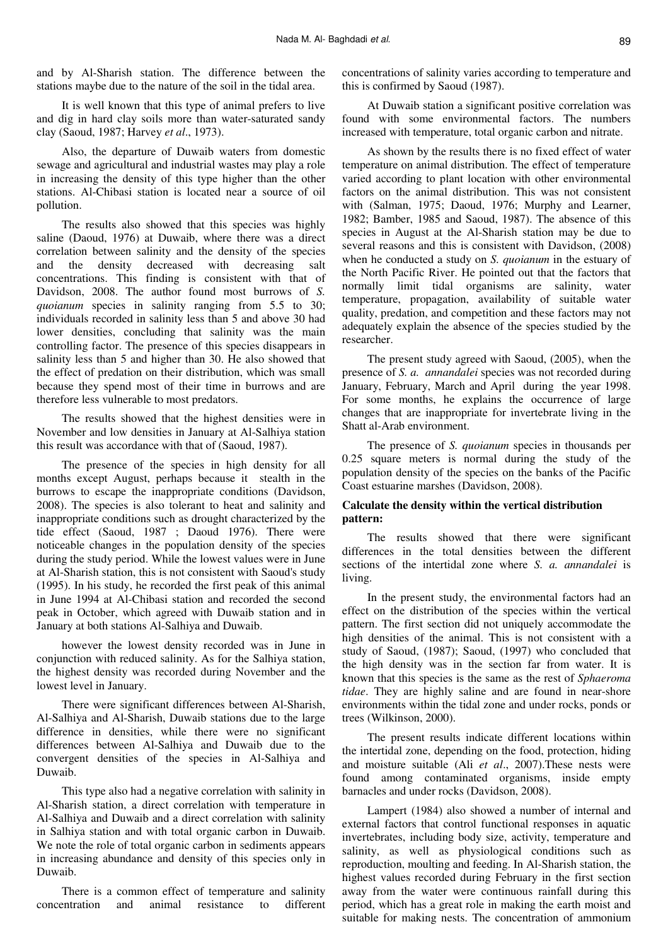and by Al-Sharish station. The difference between the stations maybe due to the nature of the soil in the tidal area.

It is well known that this type of animal prefers to live and dig in hard clay soils more than water-saturated sandy clay (Saoud, 1987; Harvey *et al*., 1973).

Also, the departure of Duwaib waters from domestic sewage and agricultural and industrial wastes may play a role in increasing the density of this type higher than the other stations. Al-Chibasi station is located near a source of oil pollution.

The results also showed that this species was highly saline (Daoud, 1976) at Duwaib, where there was a direct correlation between salinity and the density of the species and the density decreased with decreasing salt concentrations. This finding is consistent with that of Davidson, 2008. The author found most burrows of *S. quoianum* species in salinity ranging from 5.5 to 30; individuals recorded in salinity less than 5 and above 30 had lower densities, concluding that salinity was the main controlling factor. The presence of this species disappears in salinity less than 5 and higher than 30. He also showed that the effect of predation on their distribution, which was small because they spend most of their time in burrows and are therefore less vulnerable to most predators.

The results showed that the highest densities were in November and low densities in January at Al-Salhiya station this result was accordance with that of (Saoud, 1987).

The presence of the species in high density for all months except August, perhaps because it stealth in the burrows to escape the inappropriate conditions (Davidson, 2008). The species is also tolerant to heat and salinity and inappropriate conditions such as drought characterized by the tide effect (Saoud, 1987 ; Daoud 1976). There were noticeable changes in the population density of the species during the study period. While the lowest values were in June at Al-Sharish station, this is not consistent with Saoud's study (1995). In his study, he recorded the first peak of this animal in June 1994 at Al-Chibasi station and recorded the second peak in October, which agreed with Duwaib station and in January at both stations Al-Salhiya and Duwaib.

however the lowest density recorded was in June in conjunction with reduced salinity. As for the Salhiya station, the highest density was recorded during November and the lowest level in January.

There were significant differences between Al-Sharish, Al-Salhiya and Al-Sharish, Duwaib stations due to the large difference in densities, while there were no significant differences between Al-Salhiya and Duwaib due to the convergent densities of the species in Al-Salhiya and Duwaib.

This type also had a negative correlation with salinity in Al-Sharish station, a direct correlation with temperature in Al-Salhiya and Duwaib and a direct correlation with salinity in Salhiya station and with total organic carbon in Duwaib. We note the role of total organic carbon in sediments appears in increasing abundance and density of this species only in Duwaib.

There is a common effect of temperature and salinity concentration and animal resistance to different concentrations of salinity varies according to temperature and this is confirmed by Saoud (1987).

At Duwaib station a significant positive correlation was found with some environmental factors. The numbers increased with temperature, total organic carbon and nitrate.

As shown by the results there is no fixed effect of water temperature on animal distribution. The effect of temperature varied according to plant location with other environmental factors on the animal distribution. This was not consistent with (Salman, 1975; Daoud, 1976; Murphy and Learner, 1982; Bamber, 1985 and Saoud, 1987). The absence of this species in August at the Al-Sharish station may be due to several reasons and this is consistent with Davidson, (2008) when he conducted a study on *S. quoianum* in the estuary of the North Pacific River. He pointed out that the factors that normally limit tidal organisms are salinity, water temperature, propagation, availability of suitable water quality, predation, and competition and these factors may not adequately explain the absence of the species studied by the researcher.

The present study agreed with Saoud, (2005), when the presence of *S. a. annandalei* species was not recorded during January, February, March and April during the year 1998. For some months, he explains the occurrence of large changes that are inappropriate for invertebrate living in the Shatt al-Arab environment.

The presence of *S. quoianum* species in thousands per 0.25 square meters is normal during the study of the population density of the species on the banks of the Pacific Coast estuarine marshes (Davidson, 2008).

# **Calculate the density within the vertical distribution pattern:**

The results showed that there were significant differences in the total densities between the different sections of the intertidal zone where *S. a. annandalei* is living.

In the present study, the environmental factors had an effect on the distribution of the species within the vertical pattern. The first section did not uniquely accommodate the high densities of the animal. This is not consistent with a study of Saoud, (1987); Saoud, (1997) who concluded that the high density was in the section far from water. It is known that this species is the same as the rest of *Sphaeroma tidae*. They are highly saline and are found in near-shore environments within the tidal zone and under rocks, ponds or trees (Wilkinson, 2000).

The present results indicate different locations within the intertidal zone, depending on the food, protection, hiding and moisture suitable (Ali *et al*., 2007).These nests were found among contaminated organisms, inside empty barnacles and under rocks (Davidson, 2008).

Lampert (1984) also showed a number of internal and external factors that control functional responses in aquatic invertebrates, including body size, activity, temperature and salinity, as well as physiological conditions such as reproduction, moulting and feeding. In Al-Sharish station, the highest values recorded during February in the first section away from the water were continuous rainfall during this period, which has a great role in making the earth moist and suitable for making nests. The concentration of ammonium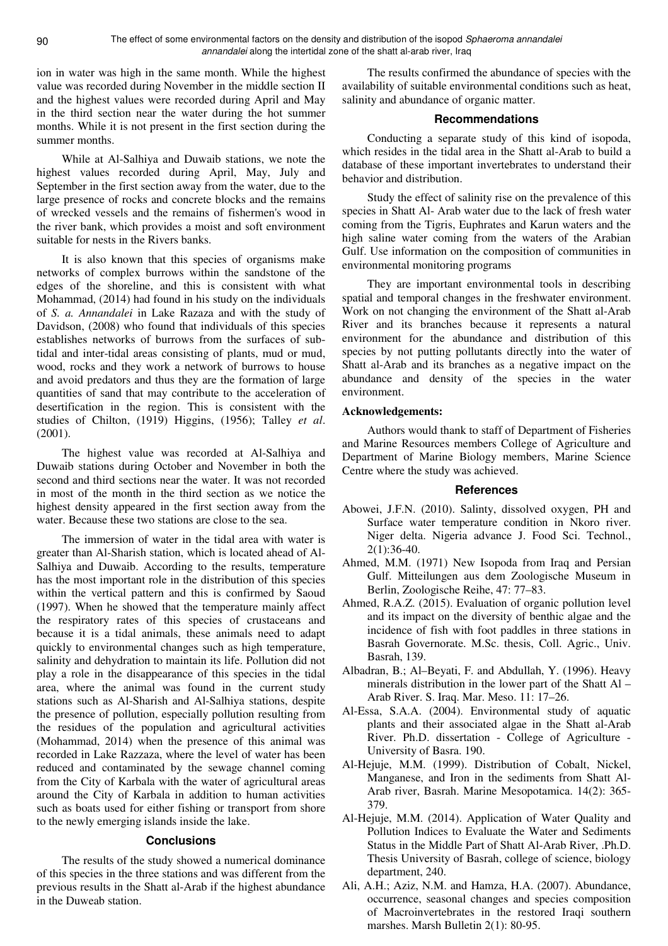ion in water was high in the same month. While the highest value was recorded during November in the middle section II and the highest values were recorded during April and May in the third section near the water during the hot summer months. While it is not present in the first section during the summer months.

While at Al-Salhiya and Duwaib stations, we note the highest values recorded during April, May, July and September in the first section away from the water, due to the large presence of rocks and concrete blocks and the remains of wrecked vessels and the remains of fishermen's wood in the river bank, which provides a moist and soft environment suitable for nests in the Rivers banks.

It is also known that this species of organisms make networks of complex burrows within the sandstone of the edges of the shoreline, and this is consistent with what Mohammad, (2014) had found in his study on the individuals of *S. a. Annandalei* in Lake Razaza and with the study of Davidson, (2008) who found that individuals of this species establishes networks of burrows from the surfaces of subtidal and inter-tidal areas consisting of plants, mud or mud, wood, rocks and they work a network of burrows to house and avoid predators and thus they are the formation of large quantities of sand that may contribute to the acceleration of desertification in the region. This is consistent with the studies of Chilton, (1919) Higgins, (1956); Talley *et al*. (2001).

The highest value was recorded at Al-Salhiya and Duwaib stations during October and November in both the second and third sections near the water. It was not recorded in most of the month in the third section as we notice the highest density appeared in the first section away from the water. Because these two stations are close to the sea.

The immersion of water in the tidal area with water is greater than Al-Sharish station, which is located ahead of Al-Salhiya and Duwaib. According to the results, temperature has the most important role in the distribution of this species within the vertical pattern and this is confirmed by Saoud (1997). When he showed that the temperature mainly affect the respiratory rates of this species of crustaceans and because it is a tidal animals, these animals need to adapt quickly to environmental changes such as high temperature, salinity and dehydration to maintain its life. Pollution did not play a role in the disappearance of this species in the tidal area, where the animal was found in the current study stations such as Al-Sharish and Al-Salhiya stations, despite the presence of pollution, especially pollution resulting from the residues of the population and agricultural activities (Mohammad, 2014) when the presence of this animal was recorded in Lake Razzaza, where the level of water has been reduced and contaminated by the sewage channel coming from the City of Karbala with the water of agricultural areas around the City of Karbala in addition to human activities such as boats used for either fishing or transport from shore to the newly emerging islands inside the lake.

# **Conclusions**

The results of the study showed a numerical dominance of this species in the three stations and was different from the previous results in the Shatt al-Arab if the highest abundance in the Duweab station.

The results confirmed the abundance of species with the availability of suitable environmental conditions such as heat, salinity and abundance of organic matter.

# **Recommendations**

Conducting a separate study of this kind of isopoda, which resides in the tidal area in the Shatt al-Arab to build a database of these important invertebrates to understand their behavior and distribution.

Study the effect of salinity rise on the prevalence of this species in Shatt Al- Arab water due to the lack of fresh water coming from the Tigris, Euphrates and Karun waters and the high saline water coming from the waters of the Arabian Gulf. Use information on the composition of communities in environmental monitoring programs

They are important environmental tools in describing spatial and temporal changes in the freshwater environment. Work on not changing the environment of the Shatt al-Arab River and its branches because it represents a natural environment for the abundance and distribution of this species by not putting pollutants directly into the water of Shatt al-Arab and its branches as a negative impact on the abundance and density of the species in the water environment.

# **Acknowledgements:**

Authors would thank to staff of Department of Fisheries and Marine Resources members College of Agriculture and Department of Marine Biology members, Marine Science Centre where the study was achieved.

#### **References**

- Abowei, J.F.N. (2010). Salinty, dissolved oxygen, PH and Surface water temperature condition in Nkoro river. Niger delta. Nigeria advance J. Food Sci. Technol.,  $2(1):36-40.$
- Ahmed, M.M. (1971) New Isopoda from Iraq and Persian Gulf. Mitteilungen aus dem Zoologische Museum in Berlin, Zoologische Reihe, 47: 77–83.
- Ahmed, R.A.Z. (2015). Evaluation of organic pollution level and its impact on the diversity of benthic algae and the incidence of fish with foot paddles in three stations in Basrah Governorate. M.Sc. thesis, Coll. Agric., Univ. Basrah, 139.
- Albadran, B.; Al–Beyati, F. and Abdullah, Y. (1996). Heavy minerals distribution in the lower part of the Shatt Al – Arab River. S. Iraq. Mar. Meso. 11: 17–26.
- Al-Essa, S.A.A. (2004). Environmental study of aquatic plants and their associated algae in the Shatt al-Arab River. Ph.D. dissertation - College of Agriculture - University of Basra. 190.
- Al-Hejuje, M.M. (1999). Distribution of Cobalt, Nickel, Manganese, and Iron in the sediments from Shatt Al-Arab river, Basrah. Marine Mesopotamica. 14(2): 365- 379.
- Al-Hejuje, M.M. (2014). Application of Water Quality and Pollution Indices to Evaluate the Water and Sediments Status in the Middle Part of Shatt Al-Arab River, .Ph.D. Thesis University of Basrah, college of science, biology department, 240.
- Ali, A.H.; Aziz, N.M. and Hamza, H.A. (2007). Abundance, occurrence, seasonal changes and species composition of Macroinvertebrates in the restored Iraqi southern marshes. Marsh Bulletin 2(1): 80-95.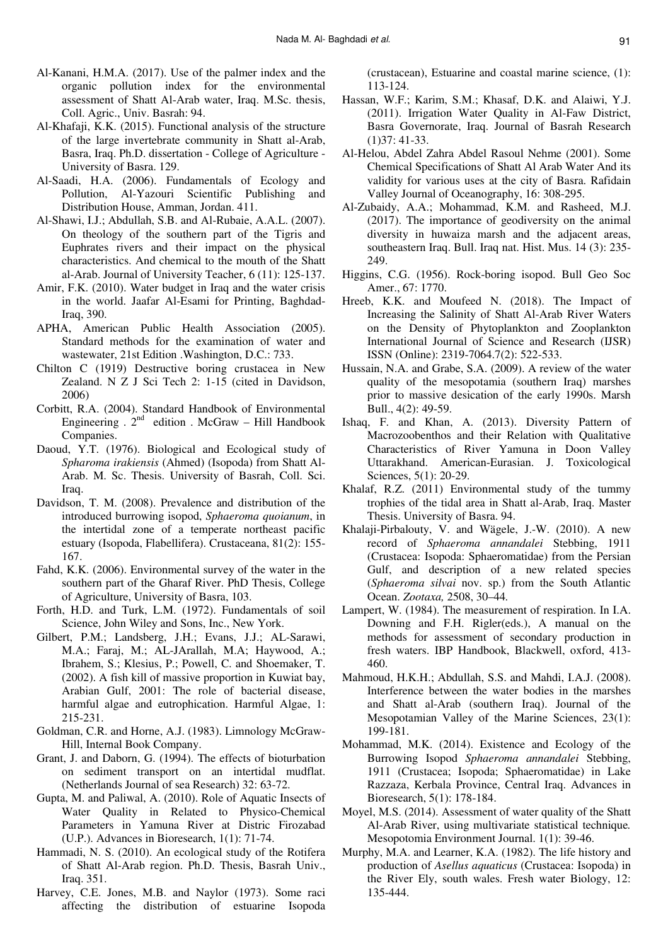- Al-Kanani, H.M.A. (2017). Use of the palmer index and the organic pollution index for the environmental assessment of Shatt Al-Arab water, Iraq. M.Sc. thesis, Coll. Agric., Univ. Basrah: 94.
- Al-Khafaji, K.K. (2015). Functional analysis of the structure of the large invertebrate community in Shatt al-Arab, Basra, Iraq. Ph.D. dissertation - College of Agriculture - University of Basra. 129.
- Al-Saadi, H.A. (2006). Fundamentals of Ecology and Pollution, Al-Yazouri Scientific Publishing and Distribution House, Amman, Jordan. 411.
- Al-Shawi, I.J.; Abdullah, S.B. and Al-Rubaie, A.A.L. (2007). On theology of the southern part of the Tigris and Euphrates rivers and their impact on the physical characteristics. And chemical to the mouth of the Shatt al-Arab. Journal of University Teacher, 6 (11): 125-137.
- Amir, F.K. (2010). Water budget in Iraq and the water crisis in the world. Jaafar Al-Esami for Printing, Baghdad-Iraq, 390.
- APHA, American Public Health Association (2005). Standard methods for the examination of water and wastewater, 21st Edition .Washington, D.C.: 733.
- Chilton C (1919) Destructive boring crustacea in New Zealand. N Z J Sci Tech 2: 1-15 (cited in Davidson, 2006)
- Corbitt, R.A. (2004). Standard Handbook of Environmental Engineering .  $2^{nd}$  edition . McGraw – Hill Handbook Companies.
- Daoud, Y.T. (1976). Biological and Ecological study of *Spharoma irakiensis* (Ahmed) (Isopoda) from Shatt Al-Arab. M. Sc. Thesis. University of Basrah, Coll. Sci. Iraq.
- Davidson, T. M. (2008). Prevalence and distribution of the introduced burrowing isopod, *Sphaeroma quoianum*, in the intertidal zone of a temperate northeast pacific estuary (Isopoda, Flabellifera). Crustaceana, 81(2): 155- 167.
- Fahd, K.K. (2006). Environmental survey of the water in the southern part of the Gharaf River. PhD Thesis, College of Agriculture, University of Basra, 103.
- Forth, H.D. and Turk, L.M. (1972). Fundamentals of soil Science, John Wiley and Sons, Inc., New York.
- Gilbert, P.M.; Landsberg, J.H.; Evans, J.J.; AL-Sarawi, M.A.; Faraj, M.; AL-JArallah, M.A; Haywood, A.; Ibrahem, S.; Klesius, P.; Powell, C. and Shoemaker, T. (2002). A fish kill of massive proportion in Kuwiat bay, Arabian Gulf, 2001: The role of bacterial disease, harmful algae and eutrophication. Harmful Algae, 1: 215-231.
- Goldman, C.R. and Horne, A.J. (1983). Limnology McGraw-Hill, Internal Book Company.
- Grant, J. and Daborn, G. (1994). The effects of bioturbation on sediment transport on an intertidal mudflat. (Netherlands Journal of sea Research) 32: 63-72.
- Gupta, M. and Paliwal, A. (2010). Role of Aquatic Insects of Water Quality in Related to Physico-Chemical Parameters in Yamuna River at Distric Firozabad (U.P.). Advances in Bioresearch, 1(1): 71-74.
- Hammadi, N. S. (2010). An ecological study of the Rotifera of Shatt Al-Arab region. Ph.D. Thesis, Basrah Univ., Iraq. 351.
- Harvey, C.E. Jones, M.B. and Naylor (1973). Some raci affecting the distribution of estuarine Isopoda

(crustacean), Estuarine and coastal marine science, (1): 113-124.

- Hassan, W.F.; Karim, S.M.; Khasaf, D.K. and Alaiwi, Y.J. (2011). Irrigation Water Quality in Al-Faw District, Basra Governorate, Iraq. Journal of Basrah Research (1)37: 41-33.
- Al-Helou, Abdel Zahra Abdel Rasoul Nehme (2001). Some Chemical Specifications of Shatt Al Arab Water And its validity for various uses at the city of Basra. Rafidain Valley Journal of Oceanography, 16: 308-295.
- Al-Zubaidy, A.A.; Mohammad, K.M. and Rasheed, M.J. (2017). The importance of geodiversity on the animal diversity in huwaiza marsh and the adjacent areas, southeastern Iraq. Bull. Iraq nat. Hist. Mus. 14 (3): 235- 249.
- Higgins, C.G. (1956). Rock-boring isopod. Bull Geo Soc Amer., 67: 1770.
- Hreeb, K.K. and Moufeed N. (2018). The Impact of Increasing the Salinity of Shatt Al-Arab River Waters on the Density of Phytoplankton and Zooplankton International Journal of Science and Research (IJSR) ISSN (Online): 2319-7064.7(2): 522-533.
- Hussain, N.A. and Grabe, S.A. (2009). A review of the water quality of the mesopotamia (southern Iraq) marshes prior to massive desication of the early 1990s. Marsh Bull., 4(2): 49-59.
- Ishaq, F. and Khan, A. (2013). Diversity Pattern of Macrozoobenthos and their Relation with Qualitative Characteristics of River Yamuna in Doon Valley Uttarakhand. American-Eurasian. J. Toxicological Sciences, 5(1): 20-29.
- Khalaf, R.Z. (2011) Environmental study of the tummy trophies of the tidal area in Shatt al-Arab, Iraq. Master Thesis. University of Basra. 94.
- Khalaji-Pirbalouty, V. and Wägele, J.-W. (2010). A new record of *Sphaeroma annandalei* Stebbing, 1911 (Crustacea: Isopoda: Sphaeromatidae) from the Persian Gulf, and description of a new related species (*Sphaeroma silvai* nov. sp.) from the South Atlantic Ocean. *Zootaxa,* 2508, 30–44*.*
- Lampert, W. (1984). The measurement of respiration. In I.A. Downing and F.H. Rigler(eds.), A manual on the methods for assessment of secondary production in fresh waters. IBP Handbook, Blackwell, oxford, 413- 460.
- Mahmoud, H.K.H.; Abdullah, S.S. and Mahdi, I.A.J. (2008). Interference between the water bodies in the marshes and Shatt al-Arab (southern Iraq). Journal of the Mesopotamian Valley of the Marine Sciences, 23(1): 199-181.
- Mohammad, M.K. (2014). Existence and Ecology of the Burrowing Isopod *Sphaeroma annandalei* Stebbing, 1911 (Crustacea; Isopoda; Sphaeromatidae) in Lake Razzaza, Kerbala Province, Central Iraq. Advances in Bioresearch, 5(1): 178-184.
- Moyel, M.S. (2014). Assessment of water quality of the Shatt Al-Arab River, using multivariate statistical technique*.*  Mesopotomia Environment Journal. 1(1): 39-46.
- Murphy, M.A. and Learner, K.A. (1982). The life history and production of *Asellus aquaticus* (Crustacea: Isopoda) in the River Ely, south wales. Fresh water Biology, 12: 135-444.